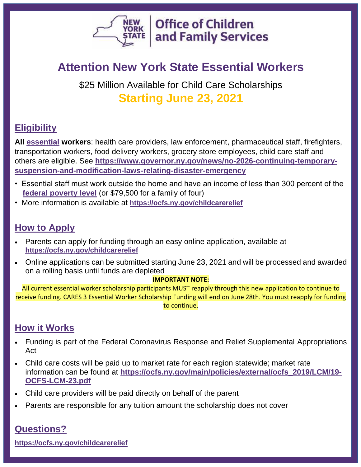

# **Attention New York State Essential Workers**

\$25 Million Available for Child Care Scholarships **Starting June 23, 2021**

# **Eligibility**

**All [essential](https://www.governor.ny.gov/news/no-2026-continuing-temporary-suspension-and-modification-laws-relating-disaster-emergency) workers**: health care providers, law enforcement, pharmaceutical staff, firefighters, transportation workers, food delivery workers, grocery store employees, child care staff and others are eligible. See **[https://www.governor.ny.gov/news/no-2026-continuing-temporary](https://www.governor.ny.gov/news/no-2026-continuing-temporary-suspension-and-modification-laws-relating-disaster-emergency)[suspension-and-modification-laws-relating-disaster-emergency](https://www.governor.ny.gov/news/no-2026-continuing-temporary-suspension-and-modification-laws-relating-disaster-emergency)**

- Essential staff must work outside the home and have an income of less than 300 percent of the **[federal poverty level](https://aspe.hhs.gov/poverty-guidelines)** (or \$79,500 for a family of four)
- More information is available [at](file:///C:/Users/IT2139/AppData/Local/Microsoft/Windows/INetCache/Content.Outlook/J28INYL0/at) **<https://ocfs.ny.gov/childcarerelief>**

# **How to Apply**

- Parents can apply for funding through an easy online application, available at **<https://ocfs.ny.gov/childcarerelief>**
- Online applications can be submitted starting June 23, 2021 and will be processed and awarded on a rolling basis until funds are depleted

#### **IMPORTANT NOTE:**

All current essential worker scholarship participants MUST reapply through this new application to continue to receive funding. CARES 3 Essential Worker Scholarship Funding will end on June 28th. You must reapply for funding to continue.

# **How it Works**

- Funding is part of the Federal Coronavirus Response and Relief Supplemental Appropriations Act
- Child care costs will be paid up to market rate for each region statewide; market rate information can be found at **[https://ocfs.ny.gov/main/policies/external/ocfs\\_2019/LCM/19-](https://ocfs.ny.gov/main/policies/external/ocfs_2019/LCM/19-OCFS-LCM-23.pdf) [OCFS-LCM-23.pdf](https://ocfs.ny.gov/main/policies/external/ocfs_2019/LCM/19-OCFS-LCM-23.pdf)**
- Child care providers will be paid directly on behalf of the parent
- Parents are responsible for any tuition amount the scholarship does not cover

# **Questions?**

**<https://ocfs.ny.gov/childcarerelief>**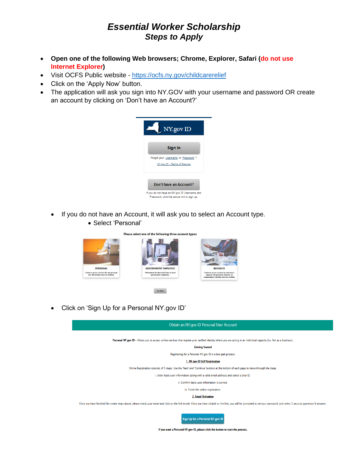- **Open one of the following Web browsers; Chrome, Explorer, Safari (do not use Internet Explorer)**
- Visit OCFS Public website <https://ocfs.ny.gov/childcarerelief>
- Click on the 'Apply Now' button.
- The application will ask you sign into NY.GOV with your username and password OR create an account by clicking on 'Don't have an Account?'



- If you do not have an Account, it will ask you to select an Account type.
	- Select 'Personal'

select one of the following three account types:



Go Back

• Click on 'Sign Up for a Personal NY.gov ID'



If you want a Personal NY.gov ID, please click the button to start the process.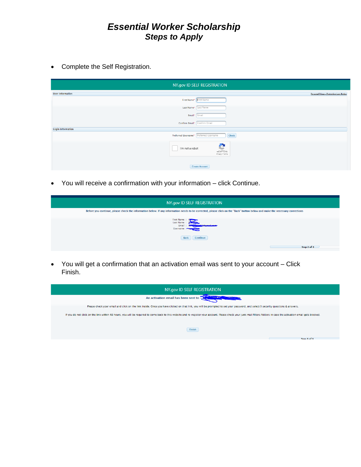• Complete the Self Registration.

| NY.gov ID SELF REGISTRATION                          |                                               |
|------------------------------------------------------|-----------------------------------------------|
| <b>User Information</b>                              | <b>Personal Privacy Protection Law Notice</b> |
| First Name <sup>*</sup> First Name                   |                                               |
| Last Name <sup>x</sup> Last Name                     |                                               |
| Email* Email                                         |                                               |
| Confirm Email* Confirm Email                         |                                               |
| <b>Login Information</b>                             |                                               |
| Check<br>Preferred Username* Preferred Username      |                                               |
| e<br>I'm not a robot<br>reCAPTCHA<br>Privacy - Terma |                                               |
| <b>Create Account</b>                                |                                               |

• You will receive a confirmation with your information – click Continue.

| NY.gov ID SELF REGISTRATION                                                                                                                                                   |             |
|-------------------------------------------------------------------------------------------------------------------------------------------------------------------------------|-------------|
| Before you continue, please check the information below. If any information needs to be corrected, please click on the "Back" button below and make the necessary corrections |             |
| First Name:<br><b>Last Name</b><br>Ema<br><b>Username</b>                                                                                                                     |             |
| Continue<br><b>Back</b>                                                                                                                                                       |             |
|                                                                                                                                                                               | Step 2 of 3 |

• You will get a confirmation that an activation email was sent to your account – Click Finish.

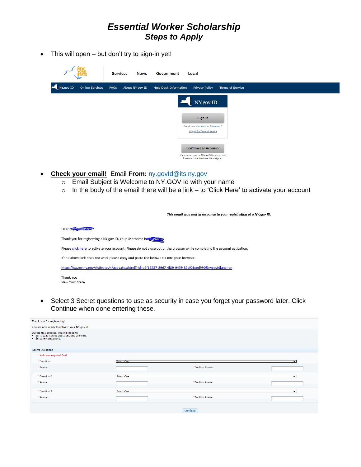• This will open – but don't try to sign-in yet!

|           |                        | <b>Services</b> | <b>News</b>     | Government                   | Local                                                                                                                |                         |
|-----------|------------------------|-----------------|-----------------|------------------------------|----------------------------------------------------------------------------------------------------------------------|-------------------------|
| NY.gov ID | <b>Online Services</b> | FAQs            | About NY.gov ID | <b>Help Desk Information</b> | <b>Privacy Policy</b>                                                                                                | <b>Terms of Service</b> |
|           |                        |                 |                 |                              | $NY.gov$ ID<br>Sign In<br>Forgot your Username or Password ?<br>NY.gov ID - Terms of Service                         |                         |
|           |                        |                 |                 |                              | Don't have an Account?<br>If you do not have an NY.gov ID Username and<br>Password, click the above link to sign up. |                         |

- **Check your email!** Email **From:** [ny.govId@its.ny.gov](mailto:ny.govId@its.ny.gov) 
	- o Email Subject is Welcome to NY.GOV Id with your name
	- o In the body of the email there will be a link to 'Click Here' to activate your account

• Select 3 Secret questions to use as security in case you forget your password later. Click Continue when done entering these.

| Thank you for registering!                                                                                    |            |                 |                         |
|---------------------------------------------------------------------------------------------------------------|------------|-----------------|-------------------------|
| You are now ready to activate your NY.gov Id.                                                                 |            |                 |                         |
| During this process, you will need to<br>• Set 3 valid secret questions and answers.<br>• Set a new password. |            |                 |                         |
| <b>Secret Questions</b>                                                                                       |            |                 |                         |
| * indicates required field                                                                                    |            |                 |                         |
| *Question 1                                                                                                   | Select One |                 | $\checkmark$            |
| *Answer                                                                                                       |            | *Confirm Answer |                         |
| *Question 2                                                                                                   | Select One |                 | $\overline{\mathbf{v}}$ |
| *Answer                                                                                                       |            | *Confirm Answer |                         |
| *Question 3                                                                                                   | Select One |                 | $\overline{\mathbf{v}}$ |
| *Answer                                                                                                       |            | *Confirm Answer |                         |
|                                                                                                               |            | Continue        |                         |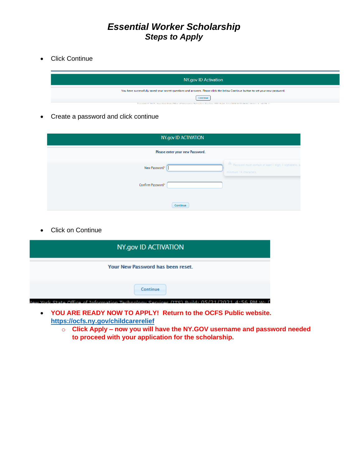• Click Continue

| NY.gov ID Activation                                                                                                                        |
|---------------------------------------------------------------------------------------------------------------------------------------------|
| You have successfully saved your secret questions and answers. Please click the below Continue button to set your new password.             |
| Continue<br>Conveight @ 2017 - New York State Office of Information Technology Services (ITS) Build: 2/14/2020 9:33 AM W: (NULL) A: 1010B 1 |

• Create a password and click continue

| NY.gov ID ACTIVATION            |                                                                                      |  |  |
|---------------------------------|--------------------------------------------------------------------------------------|--|--|
| Please enter your new Password. |                                                                                      |  |  |
| New Password*                   | A Password must contain at least 1 digit, 1 alphabetic, at<br>minimum 14 characters. |  |  |
| Confirm Password*               |                                                                                      |  |  |
| Continue                        |                                                                                      |  |  |

• Click on Continue

| NY.gov ID ACTIVATION                                                                                      |  |
|-----------------------------------------------------------------------------------------------------------|--|
| <b>Your New Password has been reset.</b>                                                                  |  |
| Continue<br>· New York State Office of Information Technology Services (ITS) Build: 05/21/2021 4:56 DM Wi |  |

- **YOU ARE READY NOW TO APPLY! Return to the OCFS Public website. <https://ocfs.ny.gov/childcarerelief>**
	- o **Click Apply – now you will have the NY.GOV username and password needed to proceed with your application for the scholarship.**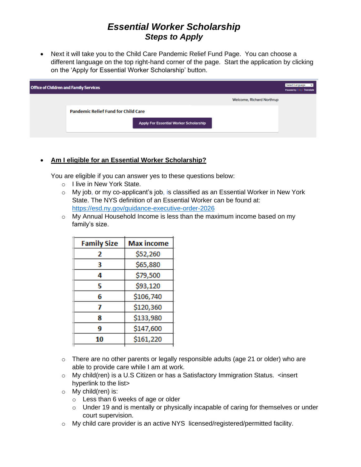• Next it will take you to the Child Care Pandemic Relief Fund Page. You can choose a different language on the top right-hand corner of the page. Start the application by clicking on the 'Apply for Essential Worker Scholarship' button.

| <b>Office of Children and Family Services</b> |                           | Select Language<br>Powered by Google Translate |
|-----------------------------------------------|---------------------------|------------------------------------------------|
|                                               | Welcome, Richard Northrup |                                                |
| <b>Pandemic Relief Fund for Child Care</b>    |                           |                                                |
| Apply For Essential Worker Scholarship        |                           |                                                |

#### • **Am I eligible for an Essential Worker Scholarship?**

You are eligible if you can answer yes to these questions below:

- o I live in New York State.
- o My job, or my co-applicant's job, is classified as an Essential Worker in New York State. The NYS definition of an Essential Worker can be found at: <https://esd.ny.gov/guidance-executive-order-2026>
- o My Annual Household Income is less than the maximum income based on my family's size.

| <b>Family Size</b> | <b>Max income</b> |
|--------------------|-------------------|
| 2                  | \$52,260          |
| 3                  | \$65,880          |
| 4                  | \$79,500          |
| 5                  | \$93,120          |
| 6                  | \$106,740         |
|                    | \$120,360         |
| 8                  | \$133,980         |
| 9                  | \$147,600         |
| 10                 | \$161,220         |

- $\circ$  There are no other parents or legally responsible adults (age 21 or older) who are able to provide care while I am at work.
- o My child(ren) is a U.S Citizen or has a Satisfactory Immigration Status. <insert hyperlink to the list>
- o My child(ren) is:
	- o Less than 6 weeks of age or older
	- $\circ$  Under 19 and is mentally or physically incapable of caring for themselves or under court supervision.
- o My child care provider is an active NYS licensed/registered/permitted facility.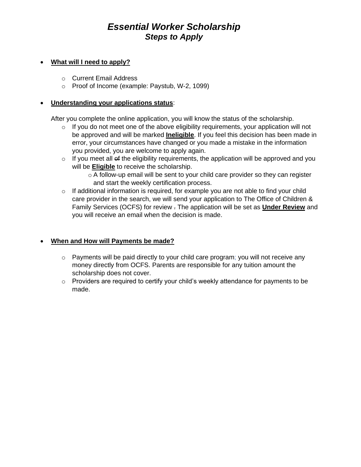#### • **What will I need to apply?**

- o Current Email Address
- o Proof of Income (example: Paystub, W-2, 1099)

#### • **Understanding your applications status**:

After you complete the online application, you will know the status of the scholarship.

- o If you do not meet one of the above eligibility requirements, your application will not be approved and will be marked **Ineligible**. If you feel this decision has been made in error, your circumstances have changed or you made a mistake in the information you provided, you are welcome to apply again.
- $\circ$  If you meet all  $\theta$  the eligibility requirements, the application will be approved and you will be **Eligible** to receive the scholarship.
	- o A follow-up email will be sent to your child care provider so they can register and start the weekly certification process.
- $\circ$  If additional information is required, for example you are not able to find your child care provider in the search, we will send your application to The Office of Children & Family Services (OCFS) for review . The application will be set as **Under Review** and you will receive an email when the decision is made.

#### • **When and How will Payments be made?**

- $\circ$  Payments will be paid directly to your child care program; you will not receive any money directly from OCFS. Parents are responsible for any tuition amount the scholarship does not cover.
- $\circ$  Providers are required to certify your child's weekly attendance for payments to be made.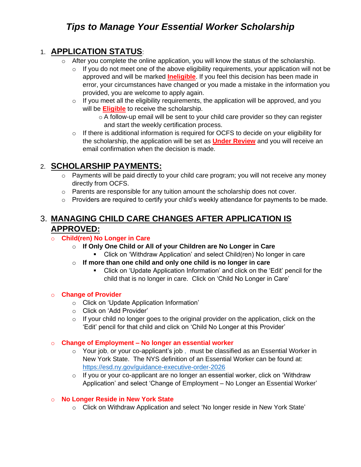### 1. **APPLICATION STATUS**:

- o After you complete the online application, you will know the status of the scholarship.
	- $\circ$  If you do not meet one of the above eligibility requirements, your application will not be approved and will be marked **Ineligible**. If you feel this decision has been made in error, your circumstances have changed or you made a mistake in the information you provided, you are welcome to apply again.
	- o If you meet all the eligibility requirements, the application will be approved, and you will be **Eligible** to receive the scholarship.
		- o A follow-up email will be sent to your child care provider so they can register and start the weekly certification process.
	- o If there is additional information is required for OCFS to decide on your eligibility for the scholarship, the application will be set as **Under Review** and you will receive an email confirmation when the decision is made.

### 2. **SCHOLARSHIP PAYMENTS:**

- o Payments will be paid directly to your child care program; you will not receive any money directly from OCFS.
- o Parents are responsible for any tuition amount the scholarship does not cover.
- o Providers are required to certify your child's weekly attendance for payments to be made.

### 3. **MANAGING CHILD CARE CHANGES AFTER APPLICATION IS APPROVED:**

#### o **Child(ren) No Longer in Care**

- o **If Only One Child or All of your Children are No Longer in Care**
	- Click on 'Withdraw Application' and select Child(ren) No longer in care
- o **If more than one child and only one child is no longer in care**
	- Click on 'Update Application Information' and click on the 'Edit' pencil for the child that is no longer in care. Click on 'Child No Longer in Care'

#### o **Change of Provider**

- o Click on 'Update Application Information'
- o Click on 'Add Provider'
- $\circ$  If your child no longer goes to the original provider on the application, click on the 'Edit' pencil for that child and click on 'Child No Longer at this Provider'

#### o **Change of Employment – No longer an essential worker**

- o Your job, or your co-applicant's job , must be classified as an Essential Worker in New York State. The NYS definition of an Essential Worker can be found at: <https://esd.ny.gov/guidance-executive-order-2026>
- o If you or your co-applicant are no longer an essential worker, click on 'Withdraw Application' and select 'Change of Employment – No Longer an Essential Worker'

#### o **No Longer Reside in New York State**

o Click on Withdraw Application and select 'No longer reside in New York State'